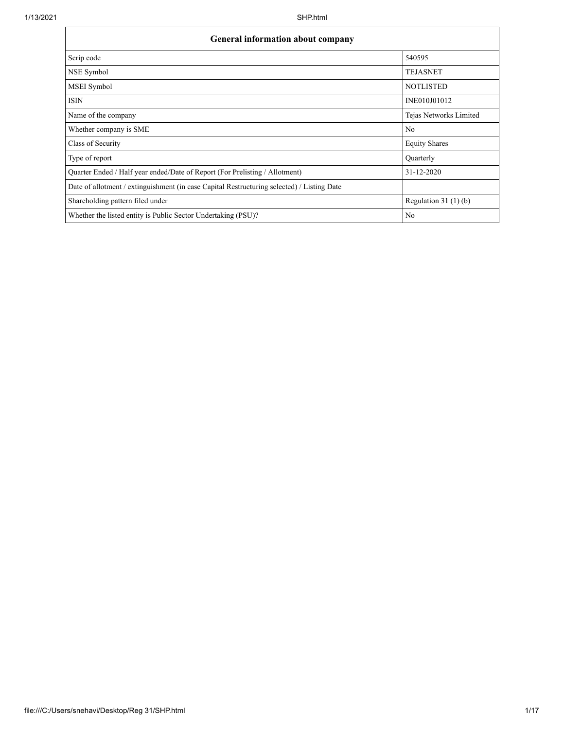| <b>General information about company</b>                                                   |                        |  |  |  |  |  |  |  |
|--------------------------------------------------------------------------------------------|------------------------|--|--|--|--|--|--|--|
| Scrip code                                                                                 | 540595                 |  |  |  |  |  |  |  |
| NSE Symbol                                                                                 | <b>TEJASNET</b>        |  |  |  |  |  |  |  |
| MSEI Symbol                                                                                | <b>NOTLISTED</b>       |  |  |  |  |  |  |  |
| <b>ISIN</b>                                                                                | INE010J01012           |  |  |  |  |  |  |  |
| Name of the company                                                                        | Tejas Networks Limited |  |  |  |  |  |  |  |
| Whether company is SME                                                                     | No                     |  |  |  |  |  |  |  |
| Class of Security                                                                          | <b>Equity Shares</b>   |  |  |  |  |  |  |  |
| Type of report                                                                             | Quarterly              |  |  |  |  |  |  |  |
| Quarter Ended / Half year ended/Date of Report (For Prelisting / Allotment)                | 31-12-2020             |  |  |  |  |  |  |  |
| Date of allotment / extinguishment (in case Capital Restructuring selected) / Listing Date |                        |  |  |  |  |  |  |  |
| Shareholding pattern filed under                                                           | Regulation $31(1)(b)$  |  |  |  |  |  |  |  |
| Whether the listed entity is Public Sector Undertaking (PSU)?                              | No                     |  |  |  |  |  |  |  |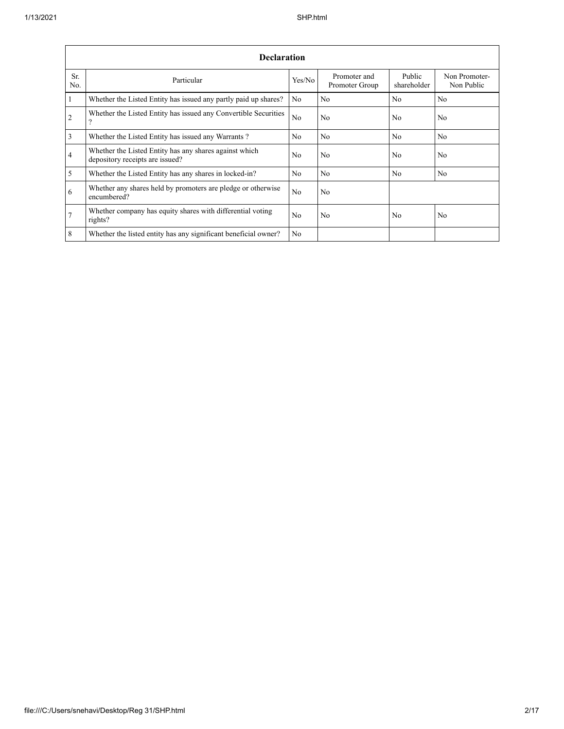|                | <b>Declaration</b>                                                                        |                |                                |                       |                             |  |  |  |  |  |  |  |  |
|----------------|-------------------------------------------------------------------------------------------|----------------|--------------------------------|-----------------------|-----------------------------|--|--|--|--|--|--|--|--|
| Sr.<br>No.     | Particular                                                                                | Yes/No         | Promoter and<br>Promoter Group | Public<br>shareholder | Non Promoter-<br>Non Public |  |  |  |  |  |  |  |  |
| $\mathbf{1}$   | Whether the Listed Entity has issued any partly paid up shares?                           | No             | No                             | N <sub>o</sub>        | N <sub>o</sub>              |  |  |  |  |  |  |  |  |
| 2              | Whether the Listed Entity has issued any Convertible Securities<br>?                      | N <sub>0</sub> | No                             | No                    | No                          |  |  |  |  |  |  |  |  |
| $\overline{3}$ | Whether the Listed Entity has issued any Warrants?                                        | N <sub>0</sub> | No                             | No                    | N <sub>o</sub>              |  |  |  |  |  |  |  |  |
| $\overline{4}$ | Whether the Listed Entity has any shares against which<br>depository receipts are issued? | No             | No                             | No                    | No                          |  |  |  |  |  |  |  |  |
| 5              | Whether the Listed Entity has any shares in locked-in?                                    | No             | No                             | No                    | No                          |  |  |  |  |  |  |  |  |
| 6              | Whether any shares held by promoters are pledge or otherwise<br>encumbered?               | No             | No                             |                       |                             |  |  |  |  |  |  |  |  |
| $\overline{7}$ | Whether company has equity shares with differential voting<br>rights?                     | N <sub>0</sub> | No                             | No                    | No                          |  |  |  |  |  |  |  |  |
| 8              | Whether the listed entity has any significant beneficial owner?                           | N <sub>0</sub> |                                |                       |                             |  |  |  |  |  |  |  |  |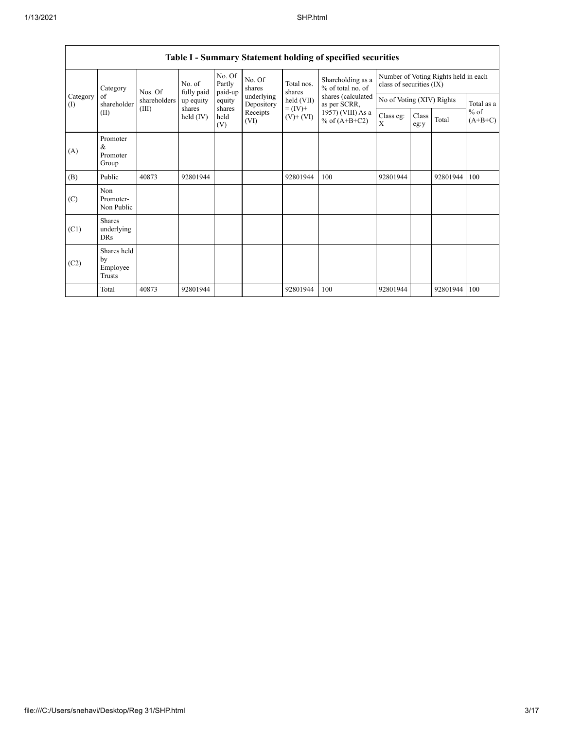|                 | Table 1 – Bunning y Blatement holding of specified securities |                                                                  |                      |                             |                  |                                    |                                        |                                                                  |               |            |                     |  |  |
|-----------------|---------------------------------------------------------------|------------------------------------------------------------------|----------------------|-----------------------------|------------------|------------------------------------|----------------------------------------|------------------------------------------------------------------|---------------|------------|---------------------|--|--|
|                 | Category                                                      | Nos. Of                                                          | No. of<br>fully paid | No. Of<br>Partly<br>paid-up | No. Of<br>shares | Total nos.<br>shares               | Shareholding as a<br>% of total no. of | Number of Voting Rights held in each<br>class of securities (IX) |               |            |                     |  |  |
| Category<br>(I) | of<br>shareholder                                             | shareholders<br>up equity<br>(III)<br>shares<br>held (IV)<br>(V) | equity               | underlying<br>Depository    | held (VII)       | shares (calculated<br>as per SCRR, | No of Voting (XIV) Rights              |                                                                  |               | Total as a |                     |  |  |
|                 | (II)                                                          |                                                                  |                      | shares<br>held              | Receipts<br>(VI) | $= (IV) +$<br>$(V)$ + $(VI)$       | 1957) (VIII) As a<br>% of $(A+B+C2)$   | Class eg:<br>X                                                   | Class<br>eg:y | Total      | $%$ of<br>$(A+B+C)$ |  |  |
| (A)             | Promoter<br>&<br>Promoter<br>Group                            |                                                                  |                      |                             |                  |                                    |                                        |                                                                  |               |            |                     |  |  |
| (B)             | Public                                                        | 40873                                                            | 92801944             |                             |                  | 92801944                           | 100                                    | 92801944                                                         |               | 92801944   | 100                 |  |  |
| (C)             | Non<br>Promoter-<br>Non Public                                |                                                                  |                      |                             |                  |                                    |                                        |                                                                  |               |            |                     |  |  |
| (C1)            | <b>Shares</b><br>underlying<br>DRs                            |                                                                  |                      |                             |                  |                                    |                                        |                                                                  |               |            |                     |  |  |
| (C2)            | Shares held<br>by<br>Employee<br>Trusts                       |                                                                  |                      |                             |                  |                                    |                                        |                                                                  |               |            |                     |  |  |
|                 | Total                                                         | 40873                                                            | 92801944             |                             |                  | 92801944                           | 100                                    | 92801944                                                         |               | 92801944   | 100                 |  |  |

## **Table I - Summary Statement holding of specified securities**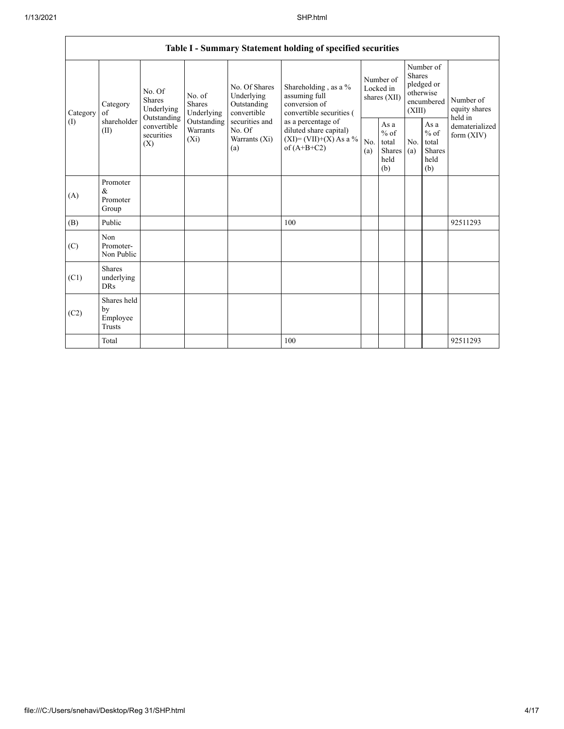|                 | Table I - Summary Statement holding of specified securities |                                                                                                                                                                  |                                                  |                                                                                          |                                                                                    |                                                  |            |                                                                               |                                |                                       |  |  |  |
|-----------------|-------------------------------------------------------------|------------------------------------------------------------------------------------------------------------------------------------------------------------------|--------------------------------------------------|------------------------------------------------------------------------------------------|------------------------------------------------------------------------------------|--------------------------------------------------|------------|-------------------------------------------------------------------------------|--------------------------------|---------------------------------------|--|--|--|
| Category<br>(1) | Category<br>of<br>shareholder<br>(II)                       | No. Of<br>No. of<br>Shares<br><b>Shares</b><br>Underlying<br>Underlying<br>Outstanding<br>Outstanding<br>convertible<br>Warrants<br>securities<br>$(X_i)$<br>(X) |                                                  | No. Of Shares<br>Underlying<br>Outstanding<br>convertible                                | Shareholding, as a %<br>assuming full<br>conversion of<br>convertible securities ( | Number of<br>Locked in<br>shares (XII)           |            | Number of<br><b>Shares</b><br>pledged or<br>otherwise<br>encumbered<br>(XIII) |                                | Number of<br>equity shares<br>held in |  |  |  |
|                 |                                                             |                                                                                                                                                                  | securities and<br>No. Of<br>Warrants (Xi)<br>(a) | as a percentage of<br>diluted share capital)<br>$(XI)=(VII)+(X)$ As a %<br>of $(A+B+C2)$ | No.<br>(a)                                                                         | As a<br>$%$ of<br>total<br>Shares<br>held<br>(b) | No.<br>(a) | As a<br>$%$ of<br>total<br><b>Shares</b><br>held<br>(b)                       | dematerialized<br>form $(XIV)$ |                                       |  |  |  |
| (A)             | Promoter<br>&<br>Promoter<br>Group                          |                                                                                                                                                                  |                                                  |                                                                                          |                                                                                    |                                                  |            |                                                                               |                                |                                       |  |  |  |
| (B)             | Public                                                      |                                                                                                                                                                  |                                                  |                                                                                          | 100                                                                                |                                                  |            |                                                                               |                                | 92511293                              |  |  |  |
| (C)             | Non<br>Promoter-<br>Non Public                              |                                                                                                                                                                  |                                                  |                                                                                          |                                                                                    |                                                  |            |                                                                               |                                |                                       |  |  |  |
| (C1)            | <b>Shares</b><br>underlying<br><b>DRs</b>                   |                                                                                                                                                                  |                                                  |                                                                                          |                                                                                    |                                                  |            |                                                                               |                                |                                       |  |  |  |
| (C2)            | Shares held<br>by<br>Employee<br>Trusts                     |                                                                                                                                                                  |                                                  |                                                                                          |                                                                                    |                                                  |            |                                                                               |                                |                                       |  |  |  |
|                 | Total                                                       |                                                                                                                                                                  |                                                  |                                                                                          | 100                                                                                |                                                  |            |                                                                               |                                | 92511293                              |  |  |  |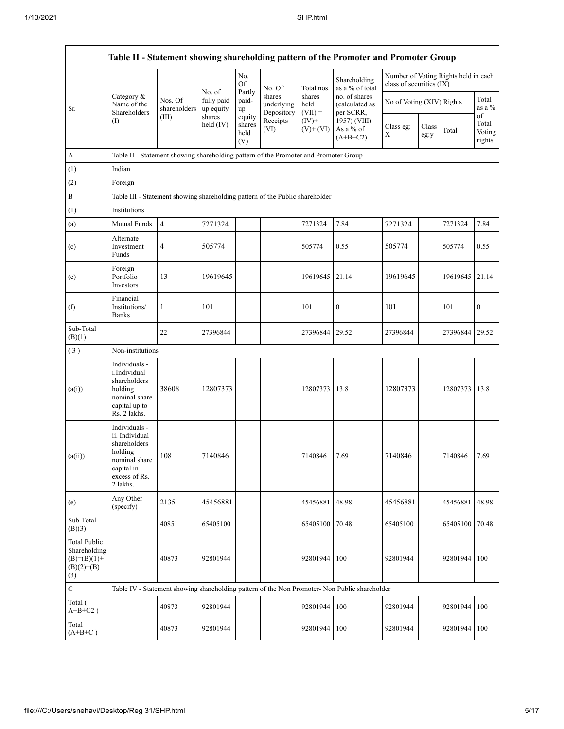|                                                                             |                                                                                                                        |                         |                         |                                 |                                    |                             | Table II - Statement showing shareholding pattern of the Promoter and Promoter Group          |                           |               |                                      |                                 |
|-----------------------------------------------------------------------------|------------------------------------------------------------------------------------------------------------------------|-------------------------|-------------------------|---------------------------------|------------------------------------|-----------------------------|-----------------------------------------------------------------------------------------------|---------------------------|---------------|--------------------------------------|---------------------------------|
|                                                                             |                                                                                                                        |                         | No. of                  | No.<br>Of<br>Partly             | No. Of                             | Total nos.                  | Shareholding<br>as a % of total                                                               | class of securities (IX)  |               | Number of Voting Rights held in each |                                 |
| Sr.                                                                         | Category &<br>Name of the<br>Shareholders                                                                              | Nos. Of<br>shareholders | fully paid<br>up equity | paid-<br>up                     | shares<br>underlying<br>Depository | shares<br>held<br>$(VII) =$ | no. of shares<br>(calculated as<br>per SCRR,                                                  | No of Voting (XIV) Rights |               |                                      | Total<br>as a %                 |
|                                                                             | $($ I                                                                                                                  | (III)                   | shares<br>held $(IV)$   | equity<br>shares<br>held<br>(V) | Receipts<br>(VI)                   | $(IV)+$<br>$(V)$ + $(VI)$   | 1957) (VIII)<br>As a % of<br>$(A+B+C2)$                                                       | Class eg:<br>Χ            | Class<br>eg:y | Total                                | of<br>Total<br>Voting<br>rights |
| $\mathbf A$                                                                 | Table II - Statement showing shareholding pattern of the Promoter and Promoter Group                                   |                         |                         |                                 |                                    |                             |                                                                                               |                           |               |                                      |                                 |
| (1)                                                                         | Indian                                                                                                                 |                         |                         |                                 |                                    |                             |                                                                                               |                           |               |                                      |                                 |
| (2)                                                                         | Foreign                                                                                                                |                         |                         |                                 |                                    |                             |                                                                                               |                           |               |                                      |                                 |
| $\, {\bf B}$                                                                | Table III - Statement showing shareholding pattern of the Public shareholder                                           |                         |                         |                                 |                                    |                             |                                                                                               |                           |               |                                      |                                 |
| (1)                                                                         | Institutions                                                                                                           |                         |                         |                                 |                                    |                             |                                                                                               |                           |               |                                      |                                 |
| (a)                                                                         | Mutual Funds                                                                                                           | $\overline{4}$          | 7271324                 |                                 |                                    | 7271324                     | 7.84                                                                                          | 7271324                   |               | 7271324                              | 7.84                            |
| (c)                                                                         | Alternate<br>Investment<br>Funds                                                                                       | 4                       | 505774                  |                                 |                                    | 505774                      | 0.55                                                                                          | 505774                    |               | 505774                               | 0.55                            |
| (e)                                                                         | Foreign<br>Portfolio<br>Investors                                                                                      | 13                      | 19619645                |                                 |                                    | 19619645                    | 21.14                                                                                         | 19619645                  |               | 19619645                             | 21.14                           |
| (f)                                                                         | Financial<br>Institutions/<br><b>Banks</b>                                                                             | 1                       | 101                     |                                 |                                    | 101                         | $\mathbf{0}$                                                                                  | 101                       |               | 101                                  | $\boldsymbol{0}$                |
| Sub-Total<br>(B)(1)                                                         |                                                                                                                        | 22                      | 27396844                |                                 |                                    | 27396844                    | 29.52                                                                                         | 27396844                  |               | 27396844                             | 29.52                           |
| (3)                                                                         | Non-institutions                                                                                                       |                         |                         |                                 |                                    |                             |                                                                                               |                           |               |                                      |                                 |
| (a(i))                                                                      | Individuals -<br>i.Individual<br>shareholders<br>holding<br>nominal share<br>capital up to<br>Rs. 2 lakhs.             | 38608                   | 12807373                |                                 |                                    | 12807373                    | 13.8                                                                                          | 12807373                  |               | 12807373                             | 13.8                            |
| (a(ii))                                                                     | Individuals -<br>ii. Individual<br>shareholders<br>holding<br>nominal share<br>capital in<br>excess of Rs.<br>2 lakhs. | 108                     | 7140846                 |                                 |                                    | 7140846                     | 7.69                                                                                          | 7140846                   |               | 7140846                              | 7.69                            |
| (e)                                                                         | Any Other<br>(specify)                                                                                                 | 2135                    | 45456881                |                                 |                                    | 45456881                    | 48.98                                                                                         | 45456881                  |               | 45456881                             | 48.98                           |
| Sub-Total<br>(B)(3)                                                         |                                                                                                                        | 40851                   | 65405100                |                                 |                                    | 65405100                    | 70.48                                                                                         | 65405100                  |               | 65405100                             | 70.48                           |
| <b>Total Public</b><br>Shareholding<br>$(B)=(B)(1)+$<br>$(B)(2)+(B)$<br>(3) |                                                                                                                        | 40873                   | 92801944                |                                 |                                    | 92801944                    | 100                                                                                           | 92801944                  |               | 92801944                             | 100                             |
| $\overline{C}$                                                              |                                                                                                                        |                         |                         |                                 |                                    |                             | Table IV - Statement showing shareholding pattern of the Non Promoter- Non Public shareholder |                           |               |                                      |                                 |
| Total (<br>$A+B+C2$ )                                                       |                                                                                                                        | 40873                   | 92801944                |                                 |                                    | 92801944                    | 100                                                                                           | 92801944                  |               | 92801944                             | 100                             |
| Total<br>$(A+B+C)$                                                          |                                                                                                                        | 40873                   | 92801944                |                                 |                                    | 92801944 100                |                                                                                               | 92801944                  |               | 92801944                             | 100                             |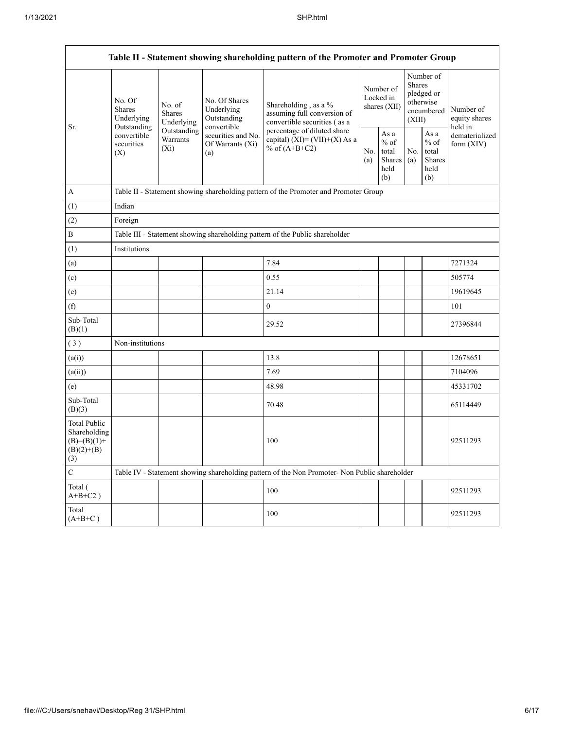|                                                                               | Table II - Statement showing shareholding pattern of the Promoter and Promoter Group     |                                       |                                                           |                                                                                               |                                        |                                                   |                                                                        |                                                         |                                       |  |  |  |
|-------------------------------------------------------------------------------|------------------------------------------------------------------------------------------|---------------------------------------|-----------------------------------------------------------|-----------------------------------------------------------------------------------------------|----------------------------------------|---------------------------------------------------|------------------------------------------------------------------------|---------------------------------------------------------|---------------------------------------|--|--|--|
|                                                                               | No. Of<br><b>Shares</b><br>Underlying<br>Outstanding<br>convertible<br>securities<br>(X) | No. of<br><b>Shares</b><br>Underlying | No. Of Shares<br>Underlying<br>Outstanding<br>convertible | Shareholding, as a %<br>assuming full conversion of<br>convertible securities (as a           | Number of<br>Locked in<br>shares (XII) |                                                   | Number of<br>Shares<br>pledged or<br>otherwise<br>encumbered<br>(XIII) |                                                         | Number of<br>equity shares<br>held in |  |  |  |
| Sr.                                                                           |                                                                                          | Outstanding<br>Warrants<br>$(X_i)$    | securities and No.<br>Of Warrants (Xi)<br>(a)             | percentage of diluted share<br>capital) $(XI) = (VII)+(X)$ As a<br>% of $(A+B+C2)$            | No.<br>(a)                             | As a<br>$\%$ of<br>total<br>Shares<br>held<br>(b) | No.<br>(a)                                                             | As a<br>$%$ of<br>total<br><b>Shares</b><br>held<br>(b) | dematerialized<br>form $(XIV)$        |  |  |  |
| $\boldsymbol{A}$                                                              |                                                                                          |                                       |                                                           | Table II - Statement showing shareholding pattern of the Promoter and Promoter Group          |                                        |                                                   |                                                                        |                                                         |                                       |  |  |  |
| (1)                                                                           | Indian                                                                                   |                                       |                                                           |                                                                                               |                                        |                                                   |                                                                        |                                                         |                                       |  |  |  |
| (2)                                                                           | Foreign                                                                                  |                                       |                                                           |                                                                                               |                                        |                                                   |                                                                        |                                                         |                                       |  |  |  |
| $\, {\bf B}$                                                                  | Table III - Statement showing shareholding pattern of the Public shareholder             |                                       |                                                           |                                                                                               |                                        |                                                   |                                                                        |                                                         |                                       |  |  |  |
| (1)                                                                           | Institutions                                                                             |                                       |                                                           |                                                                                               |                                        |                                                   |                                                                        |                                                         |                                       |  |  |  |
| (a)                                                                           |                                                                                          |                                       |                                                           | 7.84                                                                                          |                                        |                                                   |                                                                        |                                                         | 7271324                               |  |  |  |
| (c)                                                                           |                                                                                          |                                       |                                                           | 0.55                                                                                          |                                        |                                                   |                                                                        |                                                         | 505774                                |  |  |  |
| (e)                                                                           |                                                                                          |                                       |                                                           | 21.14                                                                                         |                                        |                                                   |                                                                        |                                                         | 19619645                              |  |  |  |
| (f)                                                                           |                                                                                          |                                       |                                                           | $\boldsymbol{0}$                                                                              |                                        |                                                   |                                                                        |                                                         | 101                                   |  |  |  |
| Sub-Total<br>(B)(1)                                                           |                                                                                          |                                       |                                                           | 29.52                                                                                         |                                        |                                                   |                                                                        |                                                         | 27396844                              |  |  |  |
| (3)                                                                           | Non-institutions                                                                         |                                       |                                                           |                                                                                               |                                        |                                                   |                                                                        |                                                         |                                       |  |  |  |
| (a(i))                                                                        |                                                                                          |                                       |                                                           | 13.8                                                                                          |                                        |                                                   |                                                                        |                                                         | 12678651                              |  |  |  |
| (a(ii))                                                                       |                                                                                          |                                       |                                                           | 7.69                                                                                          |                                        |                                                   |                                                                        |                                                         | 7104096                               |  |  |  |
| (e)                                                                           |                                                                                          |                                       |                                                           | 48.98                                                                                         |                                        |                                                   |                                                                        |                                                         | 45331702                              |  |  |  |
| Sub-Total<br>(B)(3)                                                           |                                                                                          |                                       |                                                           | 70.48                                                                                         |                                        |                                                   |                                                                        |                                                         | 65114449                              |  |  |  |
| <b>Total Public</b><br>Shareholding<br>$(B)= (B)(1) +$<br>$(B)(2)+(B)$<br>(3) |                                                                                          |                                       |                                                           | 100                                                                                           |                                        |                                                   |                                                                        |                                                         | 92511293                              |  |  |  |
| ${\bf C}$                                                                     |                                                                                          |                                       |                                                           | Table IV - Statement showing shareholding pattern of the Non Promoter- Non Public shareholder |                                        |                                                   |                                                                        |                                                         |                                       |  |  |  |
| Total (<br>$A+B+C2$ )                                                         |                                                                                          |                                       |                                                           | 100                                                                                           |                                        |                                                   |                                                                        |                                                         | 92511293                              |  |  |  |
| Total<br>$(A+B+C)$                                                            |                                                                                          |                                       |                                                           | 100                                                                                           |                                        |                                                   |                                                                        |                                                         | 92511293                              |  |  |  |

┑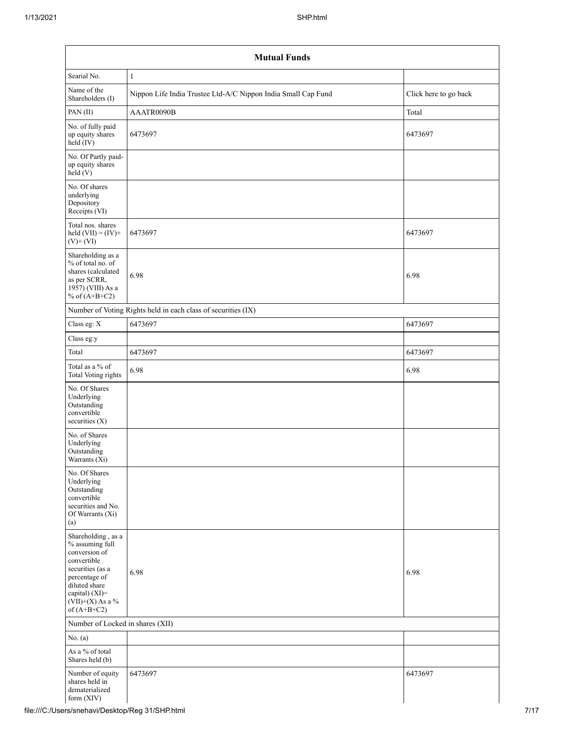| Searial No.                                                                                                                                                                          | 1                                                             |                       |
|--------------------------------------------------------------------------------------------------------------------------------------------------------------------------------------|---------------------------------------------------------------|-----------------------|
| Name of the<br>Shareholders (I)                                                                                                                                                      | Nippon Life India Trustee Ltd-A/C Nippon India Small Cap Fund | Click here to go back |
| PAN(II)                                                                                                                                                                              | AAATR0090B                                                    | Total                 |
| No. of fully paid<br>up equity shares<br>$held$ (IV)                                                                                                                                 | 6473697                                                       | 6473697               |
| No. Of Partly paid-<br>up equity shares<br>$\text{held}(V)$                                                                                                                          |                                                               |                       |
| No. Of shares<br>underlying<br>Depository<br>Receipts (VI)                                                                                                                           |                                                               |                       |
| Total nos. shares<br>held $(VII) = (IV) +$<br>$(V)$ + $(VI)$                                                                                                                         | 6473697                                                       | 6473697               |
| Shareholding as a<br>% of total no. of<br>shares (calculated<br>as per SCRR,<br>1957) (VIII) As a<br>% of $(A+B+C2)$                                                                 | 6.98                                                          | 6.98                  |
|                                                                                                                                                                                      | Number of Voting Rights held in each class of securities (IX) |                       |
| Class eg: $\mathbf X$                                                                                                                                                                | 6473697                                                       | 6473697               |
| Class eg:y                                                                                                                                                                           |                                                               |                       |
| Total                                                                                                                                                                                | 6473697                                                       | 6473697               |
| Total as a % of<br>Total Voting rights                                                                                                                                               | 6.98                                                          | 6.98                  |
| No. Of Shares<br>Underlying<br>Outstanding<br>convertible<br>securities $(X)$                                                                                                        |                                                               |                       |
| No. of Shares<br>Underlying<br>Outstanding<br>Warrants (Xi)                                                                                                                          |                                                               |                       |
| No. Of Shares<br>Underlying<br>Outstanding<br>convertible<br>securities and No.<br>Of Warrants (Xi)<br>(a)                                                                           |                                                               |                       |
| Shareholding, as a<br>% assuming full<br>conversion of<br>convertible<br>securities (as a<br>percentage of<br>diluted share<br>capital) (XI)=<br>$(VII)+(X)$ As a %<br>of $(A+B+C2)$ | 6.98                                                          | 6.98                  |
| Number of Locked in shares (XII)                                                                                                                                                     |                                                               |                       |
| No. $(a)$                                                                                                                                                                            |                                                               |                       |
| As a % of total<br>Shares held (b)                                                                                                                                                   |                                                               |                       |
| Number of equity<br>shares held in<br>dematerialized<br>form (XIV)                                                                                                                   | 6473697                                                       | 6473697               |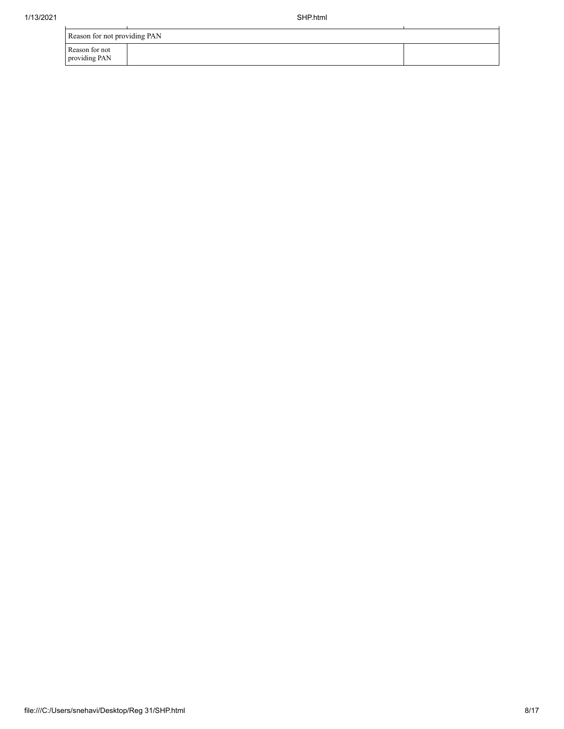| Reason for not providing PAN    |  |
|---------------------------------|--|
| Reason for not<br>providing PAN |  |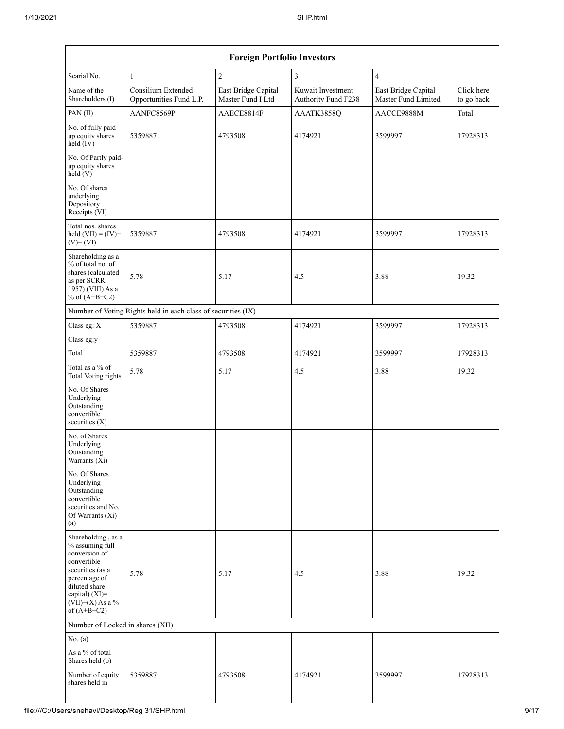| Searial No.                                                                                                                                                                          | $\mathbf{1}$                                                  | $\sqrt{2}$                               | $\mathfrak{Z}$                           | $\overline{4}$                             |                          |
|--------------------------------------------------------------------------------------------------------------------------------------------------------------------------------------|---------------------------------------------------------------|------------------------------------------|------------------------------------------|--------------------------------------------|--------------------------|
| Name of the<br>Shareholders (I)                                                                                                                                                      | Consilium Extended<br>Opportunities Fund L.P.                 | East Bridge Capital<br>Master Fund I Ltd | Kuwait Investment<br>Authority Fund F238 | East Bridge Capital<br>Master Fund Limited | Click here<br>to go back |
| PAN(II)                                                                                                                                                                              | AANFC8569P                                                    | AAECE8814F                               | AAATK3858Q                               | AACCE9888M                                 | Total                    |
| No. of fully paid<br>up equity shares<br>held (IV)                                                                                                                                   | 5359887                                                       | 4793508                                  | 4174921                                  | 3599997                                    | 17928313                 |
| No. Of Partly paid-<br>up equity shares<br>$\text{held} (V)$                                                                                                                         |                                                               |                                          |                                          |                                            |                          |
| No. Of shares<br>underlying<br>Depository<br>Receipts (VI)                                                                                                                           |                                                               |                                          |                                          |                                            |                          |
| Total nos. shares<br>held $(VII) = (IV) +$<br>$(V)$ + $(VI)$                                                                                                                         | 5359887                                                       | 4793508                                  | 4174921                                  | 3599997                                    | 17928313                 |
| Shareholding as a<br>% of total no. of<br>shares (calculated<br>as per SCRR,<br>1957) (VIII) As a<br>% of $(A+B+C2)$                                                                 | 5.78                                                          | 5.17                                     | 4.5                                      | 3.88                                       | 19.32                    |
|                                                                                                                                                                                      | Number of Voting Rights held in each class of securities (IX) |                                          |                                          |                                            |                          |
| Class eg: X                                                                                                                                                                          | 5359887                                                       | 4793508                                  | 4174921                                  | 3599997                                    | 17928313                 |
| Class eg:y                                                                                                                                                                           |                                                               |                                          |                                          |                                            |                          |
| Total                                                                                                                                                                                | 5359887                                                       | 4793508                                  | 4174921                                  | 3599997                                    | 17928313                 |
| Total as a $\%$ of<br><b>Total Voting rights</b>                                                                                                                                     | 5.78                                                          | 5.17                                     | 4.5                                      | 3.88                                       | 19.32                    |
| No. Of Shares<br>Underlying<br>Outstanding<br>convertible<br>securities (X)                                                                                                          |                                                               |                                          |                                          |                                            |                          |
| No. of Shares<br>Underlying<br>Outstanding<br>Warrants (Xi)                                                                                                                          |                                                               |                                          |                                          |                                            |                          |
| No. Of Shares<br>Underlying<br>Outstanding<br>convertible<br>securities and No.<br>Of Warrants (Xi)<br>(a)                                                                           |                                                               |                                          |                                          |                                            |                          |
| Shareholding, as a<br>% assuming full<br>conversion of<br>convertible<br>securities (as a<br>percentage of<br>diluted share<br>capital) (XI)=<br>$(VII)+(X)$ As a %<br>of $(A+B+C2)$ | 5.78                                                          | 5.17                                     | 4.5                                      | 3.88                                       | 19.32                    |
| Number of Locked in shares (XII)                                                                                                                                                     |                                                               |                                          |                                          |                                            |                          |
| No. (a)                                                                                                                                                                              |                                                               |                                          |                                          |                                            |                          |
| As a % of total<br>Shares held (b)                                                                                                                                                   |                                                               |                                          |                                          |                                            |                          |
| Number of equity<br>shares held in                                                                                                                                                   | 5359887                                                       | 4793508                                  | 4174921                                  | 3599997                                    | 17928313                 |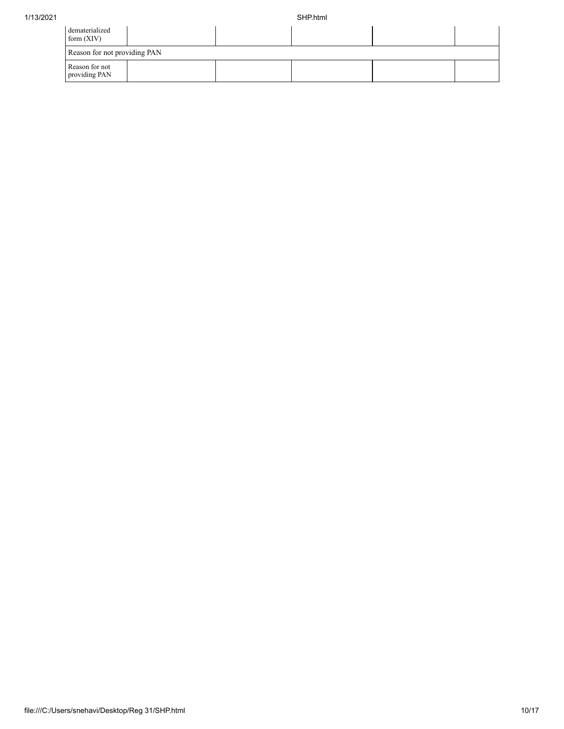| dematerialized<br>form $(XIV)$  |  |  |  |  |  |  |  |  |  |  |
|---------------------------------|--|--|--|--|--|--|--|--|--|--|
| Reason for not providing PAN    |  |  |  |  |  |  |  |  |  |  |
| Reason for not<br>providing PAN |  |  |  |  |  |  |  |  |  |  |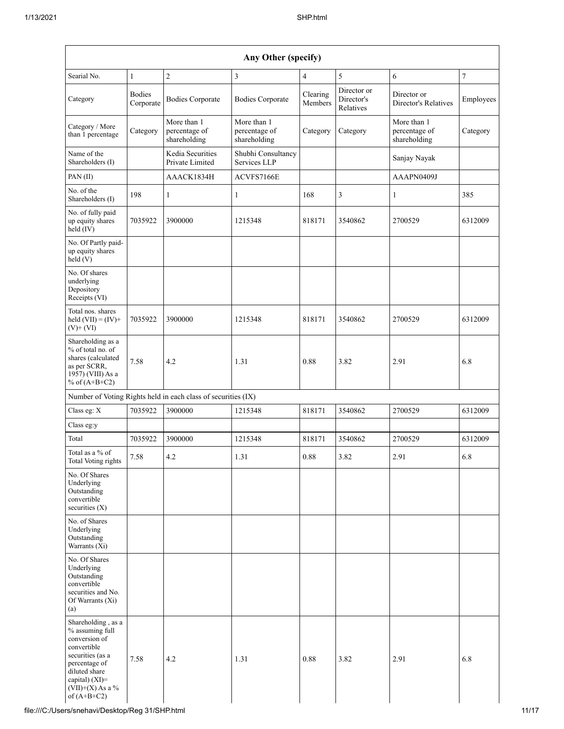| Any Other (specify)                                                                                                                                                                  |                            |                                                               |                                              |                     |                                        |                                              |            |  |  |  |  |  |
|--------------------------------------------------------------------------------------------------------------------------------------------------------------------------------------|----------------------------|---------------------------------------------------------------|----------------------------------------------|---------------------|----------------------------------------|----------------------------------------------|------------|--|--|--|--|--|
| Searial No.                                                                                                                                                                          | $\mathbf{1}$               | $\sqrt{2}$                                                    | 3                                            | 4                   | 5                                      | 6                                            | $\sqrt{ }$ |  |  |  |  |  |
| Category                                                                                                                                                                             | <b>Bodies</b><br>Corporate | <b>Bodies Corporate</b>                                       | <b>Bodies Corporate</b>                      | Clearing<br>Members | Director or<br>Director's<br>Relatives | Director or<br>Director's Relatives          | Employees  |  |  |  |  |  |
| Category / More<br>than 1 percentage                                                                                                                                                 | Category                   | More than 1<br>percentage of<br>shareholding                  | More than 1<br>percentage of<br>shareholding | Category            | Category                               | More than 1<br>percentage of<br>shareholding | Category   |  |  |  |  |  |
| Name of the<br>Shareholders (I)                                                                                                                                                      |                            | Kedia Securities<br>Private Limited                           | Shubhi Consultancy<br>Services LLP           |                     |                                        | Sanjay Nayak                                 |            |  |  |  |  |  |
| PAN (II)                                                                                                                                                                             |                            | AAACK1834H                                                    | ACVFS7166E                                   |                     |                                        | AAAPN0409J                                   |            |  |  |  |  |  |
| No. of the<br>Shareholders (I)                                                                                                                                                       | 198                        | $\mathbf{1}$                                                  | 1                                            | 168                 | $\mathfrak{Z}$                         | $\mathbf{1}$                                 | 385        |  |  |  |  |  |
| No. of fully paid<br>up equity shares<br>$held$ (IV)                                                                                                                                 | 7035922                    | 3900000                                                       | 1215348                                      | 818171              | 3540862                                | 2700529                                      | 6312009    |  |  |  |  |  |
| No. Of Partly paid-<br>up equity shares<br>held (V)                                                                                                                                  |                            |                                                               |                                              |                     |                                        |                                              |            |  |  |  |  |  |
| No. Of shares<br>underlying<br>Depository<br>Receipts (VI)                                                                                                                           |                            |                                                               |                                              |                     |                                        |                                              |            |  |  |  |  |  |
| Total nos. shares<br>held $(VII) = (IV) +$<br>$(V)$ + $(VI)$                                                                                                                         | 7035922                    | 3900000                                                       | 1215348                                      | 818171              | 3540862                                | 2700529                                      | 6312009    |  |  |  |  |  |
| Shareholding as a<br>% of total no. of<br>shares (calculated<br>as per SCRR,<br>1957) (VIII) As a<br>% of $(A+B+C2)$                                                                 | 7.58                       | 4.2                                                           | 1.31                                         | 0.88                | 3.82                                   | 2.91                                         | 6.8        |  |  |  |  |  |
|                                                                                                                                                                                      |                            | Number of Voting Rights held in each class of securities (IX) |                                              |                     |                                        |                                              |            |  |  |  |  |  |
| Class eg: X                                                                                                                                                                          | 7035922                    | 3900000                                                       | 1215348                                      | 818171              | 3540862                                | 2700529                                      | 6312009    |  |  |  |  |  |
| Class eg:y                                                                                                                                                                           |                            |                                                               |                                              |                     |                                        |                                              |            |  |  |  |  |  |
| Total                                                                                                                                                                                | 7035922                    | 3900000                                                       | 1215348                                      | 818171              | 3540862                                | 2700529                                      | 6312009    |  |  |  |  |  |
| Total as a % of<br><b>Total Voting rights</b>                                                                                                                                        | 7.58                       | 4.2                                                           | 1.31                                         | 0.88                | 3.82                                   | 2.91                                         | 6.8        |  |  |  |  |  |
| No. Of Shares<br>Underlying<br>Outstanding<br>convertible<br>securities (X)                                                                                                          |                            |                                                               |                                              |                     |                                        |                                              |            |  |  |  |  |  |
| No. of Shares<br>Underlying<br>Outstanding<br>Warrants (Xi)                                                                                                                          |                            |                                                               |                                              |                     |                                        |                                              |            |  |  |  |  |  |
| No. Of Shares<br>Underlying<br>Outstanding<br>convertible<br>securities and No.<br>Of Warrants (Xi)<br>(a)                                                                           |                            |                                                               |                                              |                     |                                        |                                              |            |  |  |  |  |  |
| Shareholding, as a<br>% assuming full<br>conversion of<br>convertible<br>securities (as a<br>percentage of<br>diluted share<br>capital) (XI)=<br>$(VII)+(X)$ As a %<br>of $(A+B+C2)$ | 7.58                       | 4.2                                                           | 1.31                                         | 0.88                | 3.82                                   | 2.91                                         | 6.8        |  |  |  |  |  |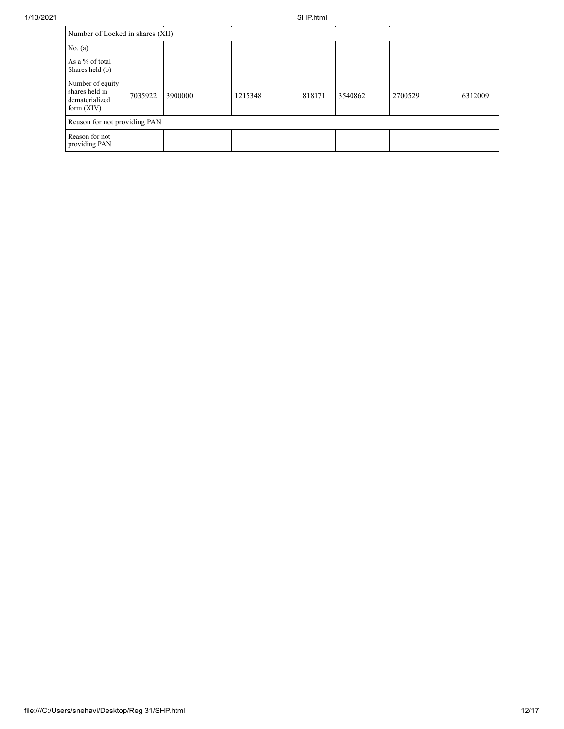| 1/13/2021 |                                                                      |                              |         |         | SHP.html |         |         |         |  |  |  |
|-----------|----------------------------------------------------------------------|------------------------------|---------|---------|----------|---------|---------|---------|--|--|--|
|           | Number of Locked in shares (XII)                                     |                              |         |         |          |         |         |         |  |  |  |
|           | No. (a)                                                              |                              |         |         |          |         |         |         |  |  |  |
|           | As a % of total<br>Shares held (b)                                   |                              |         |         |          |         |         |         |  |  |  |
|           | Number of equity<br>shares held in<br>dematerialized<br>form $(XIV)$ | 7035922                      | 3900000 | 1215348 | 818171   | 3540862 | 2700529 | 6312009 |  |  |  |
|           |                                                                      | Reason for not providing PAN |         |         |          |         |         |         |  |  |  |
|           | Reason for not<br>providing PAN                                      |                              |         |         |          |         |         |         |  |  |  |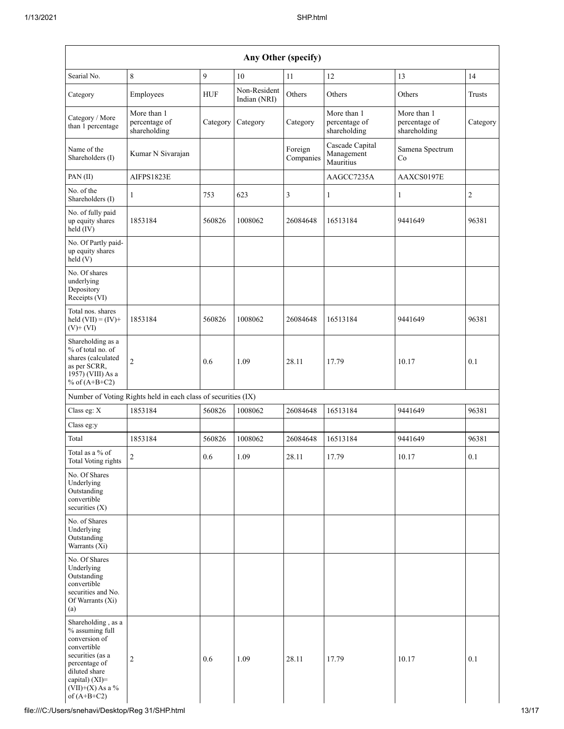| Any Other (specify)                                                                                                                                                                     |                                                               |            |                              |                      |                                              |                                              |                |
|-----------------------------------------------------------------------------------------------------------------------------------------------------------------------------------------|---------------------------------------------------------------|------------|------------------------------|----------------------|----------------------------------------------|----------------------------------------------|----------------|
| Searial No.                                                                                                                                                                             | 8                                                             | 9          | 10                           | 11                   | 12                                           | 13                                           | 14             |
| Category                                                                                                                                                                                | Employees                                                     | <b>HUF</b> | Non-Resident<br>Indian (NRI) | Others               | Others                                       | Others                                       | Trusts         |
| Category / More<br>than 1 percentage                                                                                                                                                    | More than 1<br>percentage of<br>shareholding                  | Category   | Category                     | Category             | More than 1<br>percentage of<br>shareholding | More than 1<br>percentage of<br>shareholding | Category       |
| Name of the<br>Shareholders (I)                                                                                                                                                         | Kumar N Sivarajan                                             |            |                              | Foreign<br>Companies | Cascade Capital<br>Management<br>Mauritius   | Samena Spectrum<br>Co                        |                |
| PAN(II)                                                                                                                                                                                 | AIFPS1823E                                                    |            |                              |                      | AAGCC7235A                                   | AAXCS0197E                                   |                |
| No. of the<br>Shareholders (I)                                                                                                                                                          | 1                                                             | 753        | 623                          | 3                    | 1                                            | 1                                            | $\overline{2}$ |
| No. of fully paid<br>up equity shares<br>held (IV)                                                                                                                                      | 1853184                                                       | 560826     | 1008062                      | 26084648             | 16513184                                     | 9441649                                      | 96381          |
| No. Of Partly paid-<br>up equity shares<br>held(V)                                                                                                                                      |                                                               |            |                              |                      |                                              |                                              |                |
| No. Of shares<br>underlying<br>Depository<br>Receipts (VI)                                                                                                                              |                                                               |            |                              |                      |                                              |                                              |                |
| Total nos. shares<br>held $(VII) = (IV) +$<br>$(V)$ + $(VI)$                                                                                                                            | 1853184                                                       | 560826     | 1008062                      | 26084648             | 16513184                                     | 9441649                                      | 96381          |
| Shareholding as a<br>% of total no. of<br>shares (calculated<br>as per SCRR,<br>1957) (VIII) As a<br>% of $(A+B+C2)$                                                                    | $\overline{c}$                                                | 0.6        | 1.09                         | 28.11                | 17.79                                        | 10.17                                        | 0.1            |
|                                                                                                                                                                                         | Number of Voting Rights held in each class of securities (IX) |            |                              |                      |                                              |                                              |                |
| Class eg: X                                                                                                                                                                             | 1853184                                                       | 560826     | 1008062                      | 26084648             | 16513184                                     | 9441649                                      | 96381          |
| Class eg:y                                                                                                                                                                              |                                                               |            |                              |                      |                                              |                                              |                |
| Total                                                                                                                                                                                   | 1853184                                                       | 560826     | 1008062                      | 26084648             | 16513184                                     | 9441649                                      | 96381          |
| Total as a % of<br>Total Voting rights                                                                                                                                                  | $\mathfrak{D}$                                                | 0.6        | 1.09                         | 28.11                | 17.79                                        | 10.17                                        | 0.1            |
| No. Of Shares<br>Underlying<br>Outstanding<br>convertible<br>securities $(X)$                                                                                                           |                                                               |            |                              |                      |                                              |                                              |                |
| No. of Shares<br>Underlying<br>Outstanding<br>Warrants $(X_i)$                                                                                                                          |                                                               |            |                              |                      |                                              |                                              |                |
| No. Of Shares<br>Underlying<br>Outstanding<br>convertible<br>securities and No.<br>Of Warrants (Xi)<br>(a)                                                                              |                                                               |            |                              |                      |                                              |                                              |                |
| Shareholding, as a<br>% assuming full<br>conversion of<br>convertible<br>securities (as a<br>percentage of<br>diluted share<br>capital) $(XI)$ =<br>$(VII)+(X)$ As a %<br>of $(A+B+C2)$ | $\overline{c}$                                                | 0.6        | 1.09                         | 28.11                | 17.79                                        | 10.17                                        | 0.1            |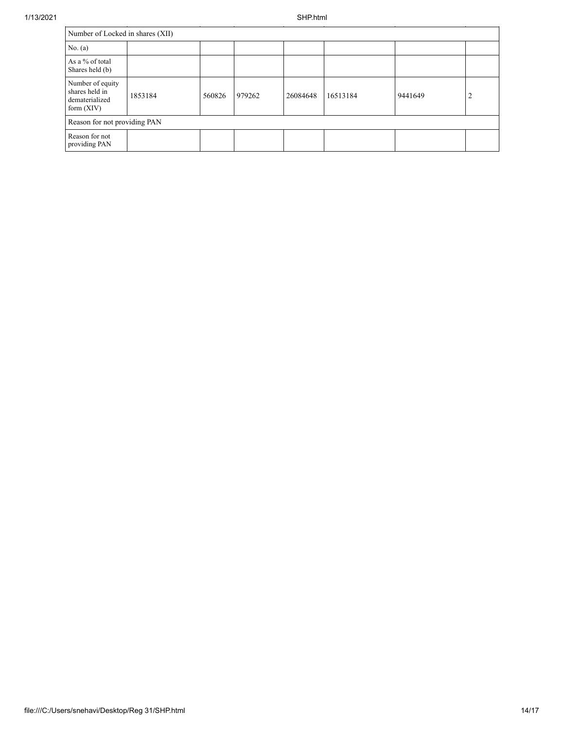| Number of Locked in shares (XII)                                     |         |        |        |          |          |         |   |
|----------------------------------------------------------------------|---------|--------|--------|----------|----------|---------|---|
| No. $(a)$                                                            |         |        |        |          |          |         |   |
| As a % of total<br>Shares held (b)                                   |         |        |        |          |          |         |   |
| Number of equity<br>shares held in<br>dematerialized<br>form $(XIV)$ | 1853184 | 560826 | 979262 | 26084648 | 16513184 | 9441649 | 2 |
| Reason for not providing PAN                                         |         |        |        |          |          |         |   |
| Reason for not<br>providing PAN                                      |         |        |        |          |          |         |   |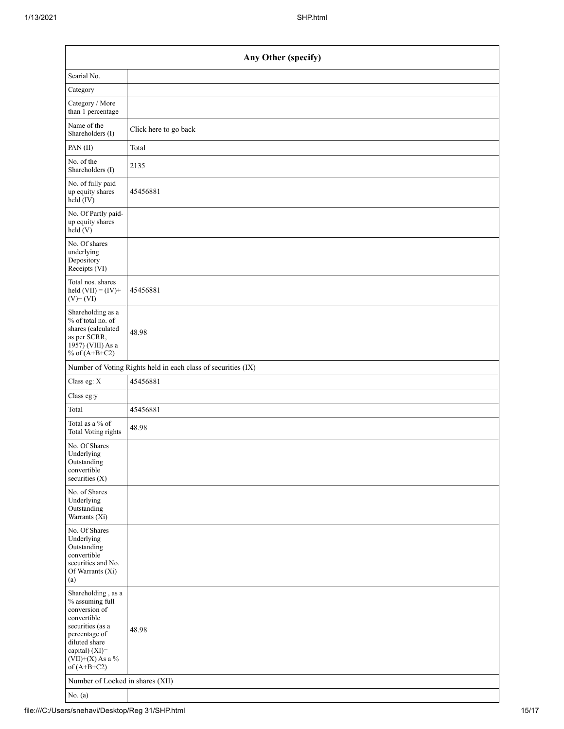| Any Other (specify)                                                                                                                                                                  |                       |  |  |  |
|--------------------------------------------------------------------------------------------------------------------------------------------------------------------------------------|-----------------------|--|--|--|
| Searial No.                                                                                                                                                                          |                       |  |  |  |
| Category                                                                                                                                                                             |                       |  |  |  |
| Category / More<br>than 1 percentage                                                                                                                                                 |                       |  |  |  |
| Name of the<br>Shareholders (I)                                                                                                                                                      | Click here to go back |  |  |  |
| PAN(II)                                                                                                                                                                              | Total                 |  |  |  |
| No. of the<br>Shareholders (I)                                                                                                                                                       | 2135                  |  |  |  |
| No. of fully paid<br>up equity shares<br>$held$ (IV)                                                                                                                                 | 45456881              |  |  |  |
| No. Of Partly paid-<br>up equity shares<br>held (V)                                                                                                                                  |                       |  |  |  |
| No. Of shares<br>underlying<br>Depository<br>Receipts (VI)                                                                                                                           |                       |  |  |  |
| Total nos. shares<br>held $(VII) = (IV) +$<br>$(V)$ + $(VI)$                                                                                                                         | 45456881              |  |  |  |
| Shareholding as a<br>% of total no. of<br>shares (calculated<br>as per SCRR,<br>1957) (VIII) As a<br>% of $(A+B+C2)$                                                                 | 48.98                 |  |  |  |
| Number of Voting Rights held in each class of securities (IX)                                                                                                                        |                       |  |  |  |
| Class eg: X                                                                                                                                                                          | 45456881              |  |  |  |
| Class eg:y                                                                                                                                                                           |                       |  |  |  |
| Total                                                                                                                                                                                | 45456881              |  |  |  |
| Total as a % of<br><b>Total Voting rights</b>                                                                                                                                        | 48.98                 |  |  |  |
| No. Of Shares<br>Underlying<br>Outstanding<br>convertible<br>securities $(X)$                                                                                                        |                       |  |  |  |
| No. of Shares<br>Underlying<br>Outstanding<br>Warrants (Xi)                                                                                                                          |                       |  |  |  |
| No. Of Shares<br>Underlying<br>Outstanding<br>convertible<br>securities and No.<br>Of Warrants (Xi)<br>(a)                                                                           |                       |  |  |  |
| Shareholding, as a<br>% assuming full<br>conversion of<br>convertible<br>securities (as a<br>percentage of<br>diluted share<br>capital) (XI)=<br>$(VII)+(X)$ As a %<br>of $(A+B+C2)$ | 48.98                 |  |  |  |
| Number of Locked in shares (XII)                                                                                                                                                     |                       |  |  |  |
| No. $(a)$                                                                                                                                                                            |                       |  |  |  |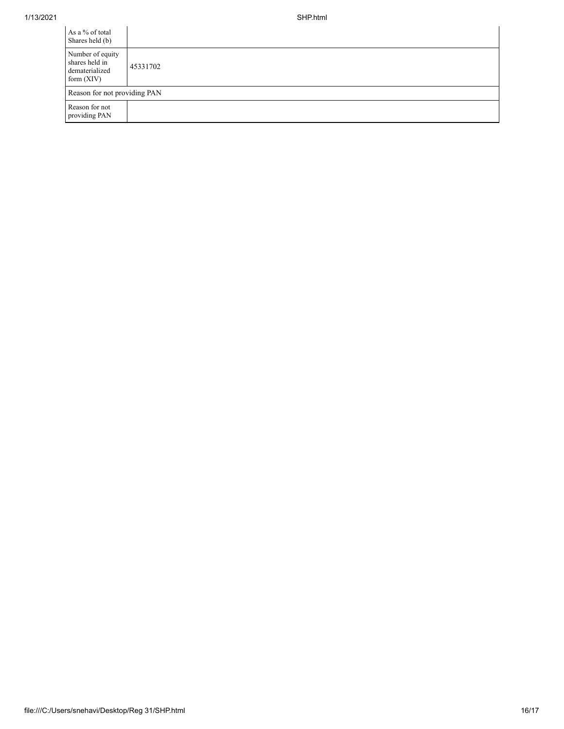| As a % of total<br>Shares held (b)                                   |          |
|----------------------------------------------------------------------|----------|
| Number of equity<br>shares held in<br>dematerialized<br>form $(XIV)$ | 45331702 |
| Reason for not providing PAN                                         |          |
| Reason for not<br>providing PAN                                      |          |